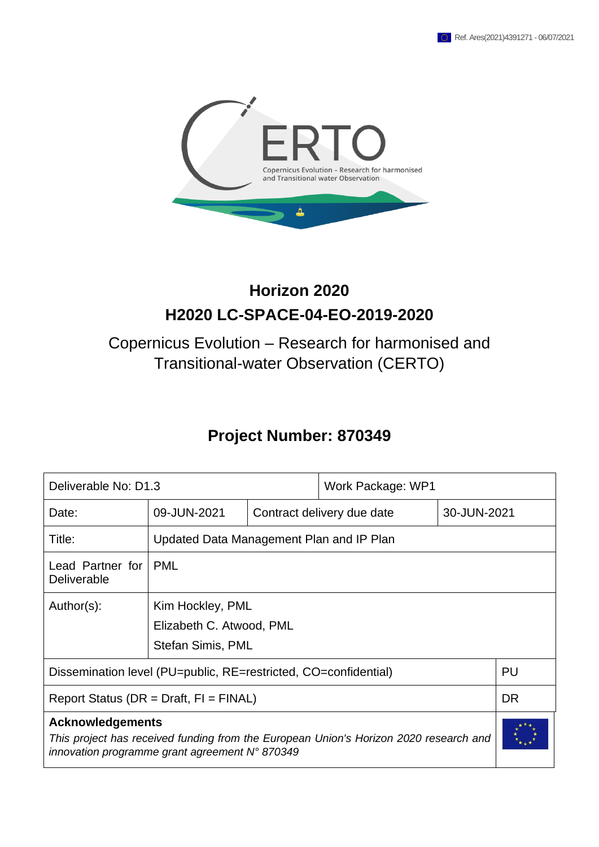

# **Horizon 2020 H2020 LC-SPACE-04-EO-2019-2020**

# Copernicus Evolution – Research for harmonised and Transitional-water Observation (CERTO)

# **Project Number: 870349**

| Deliverable No: D1.3                                                                                                                                               |                                                                   | Work Package: WP1          |             |  |  |  |  |  |
|--------------------------------------------------------------------------------------------------------------------------------------------------------------------|-------------------------------------------------------------------|----------------------------|-------------|--|--|--|--|--|
| Date:                                                                                                                                                              | 09-JUN-2021                                                       | Contract delivery due date | 30-JUN-2021 |  |  |  |  |  |
| Title:                                                                                                                                                             | Updated Data Management Plan and IP Plan                          |                            |             |  |  |  |  |  |
| Lead Partner for<br>Deliverable                                                                                                                                    | <b>PML</b>                                                        |                            |             |  |  |  |  |  |
| Author(s):                                                                                                                                                         | Kim Hockley, PML<br>Elizabeth C. Atwood, PML<br>Stefan Simis, PML |                            |             |  |  |  |  |  |
| PU<br>Dissemination level (PU=public, RE=restricted, CO=confidential)                                                                                              |                                                                   |                            |             |  |  |  |  |  |
| <b>DR</b><br>Report Status (DR = Draft, $FI = FINAL$ )                                                                                                             |                                                                   |                            |             |  |  |  |  |  |
| <b>Acknowledgements</b><br>This project has received funding from the European Union's Horizon 2020 research and<br>innovation programme grant agreement N° 870349 |                                                                   |                            |             |  |  |  |  |  |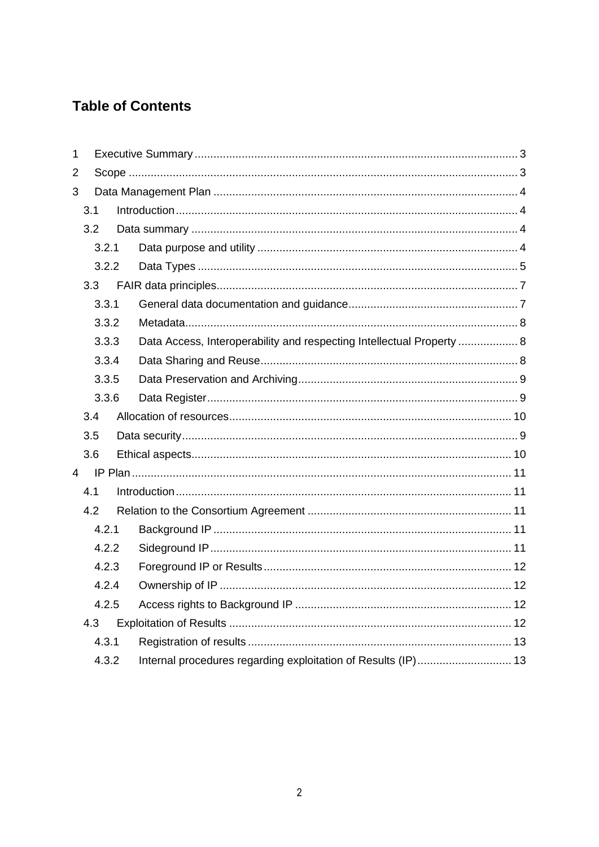## **Table of Contents**

| $\mathbf{1}$ |     |       |  |                                                                       |  |
|--------------|-----|-------|--|-----------------------------------------------------------------------|--|
| 2            |     |       |  |                                                                       |  |
| 3            |     |       |  |                                                                       |  |
|              | 3.1 |       |  |                                                                       |  |
|              |     | 3.2   |  |                                                                       |  |
|              |     | 3.2.1 |  |                                                                       |  |
|              |     | 3.2.2 |  |                                                                       |  |
|              |     | 3.3   |  |                                                                       |  |
|              |     | 3.3.1 |  |                                                                       |  |
|              |     | 3.3.2 |  |                                                                       |  |
|              |     | 3.3.3 |  | Data Access, Interoperability and respecting Intellectual Property  8 |  |
|              |     | 3.3.4 |  |                                                                       |  |
|              |     | 3.3.5 |  |                                                                       |  |
|              |     | 3.3.6 |  |                                                                       |  |
|              | 3.4 |       |  |                                                                       |  |
|              | 3.5 |       |  |                                                                       |  |
|              | 3.6 |       |  |                                                                       |  |
| 4            |     |       |  |                                                                       |  |
|              | 4.1 |       |  |                                                                       |  |
|              | 4.2 |       |  |                                                                       |  |
|              |     | 4.2.1 |  |                                                                       |  |
|              |     | 4.2.2 |  |                                                                       |  |
|              |     | 4.2.3 |  |                                                                       |  |
|              |     | 4.2.4 |  |                                                                       |  |
|              |     | 4.2.5 |  |                                                                       |  |
|              |     | 4.3   |  |                                                                       |  |
|              |     | 4.3.1 |  |                                                                       |  |
|              |     | 4.3.2 |  | Internal procedures regarding exploitation of Results (IP) 13         |  |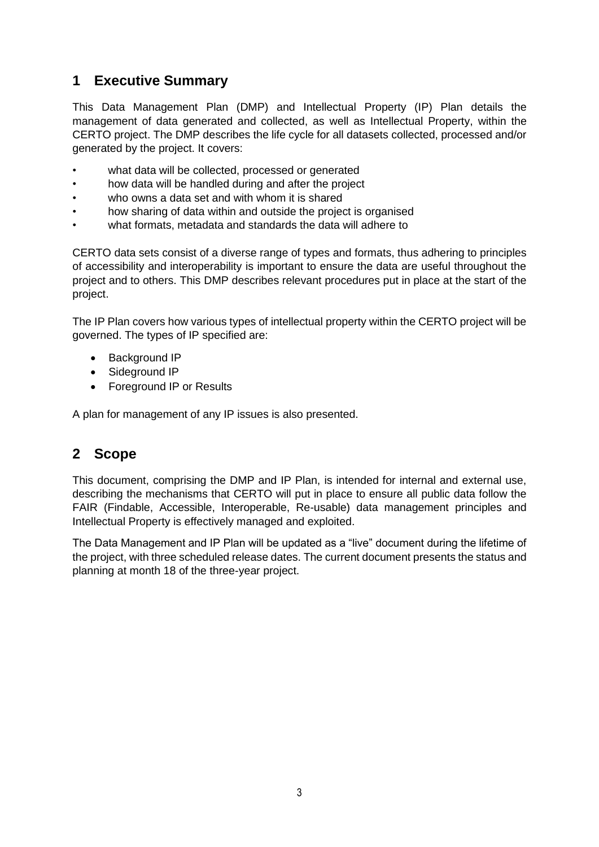## <span id="page-2-0"></span>**1 Executive Summary**

This Data Management Plan (DMP) and Intellectual Property (IP) Plan details the management of data generated and collected, as well as Intellectual Property, within the CERTO project. The DMP describes the life cycle for all datasets collected, processed and/or generated by the project. It covers:

- what data will be collected, processed or generated
- how data will be handled during and after the project
- who owns a data set and with whom it is shared
- how sharing of data within and outside the project is organised
- what formats, metadata and standards the data will adhere to

CERTO data sets consist of a diverse range of types and formats, thus adhering to principles of accessibility and interoperability is important to ensure the data are useful throughout the project and to others. This DMP describes relevant procedures put in place at the start of the project.

The IP Plan covers how various types of intellectual property within the CERTO project will be governed. The types of IP specified are:

- Background IP
- Sideground IP
- Foreground IP or Results

<span id="page-2-1"></span>A plan for management of any IP issues is also presented.

## **2 Scope**

This document, comprising the DMP and IP Plan, is intended for internal and external use, describing the mechanisms that CERTO will put in place to ensure all public data follow the FAIR (Findable, Accessible, Interoperable, Re-usable) data management principles and Intellectual Property is effectively managed and exploited.

The Data Management and IP Plan will be updated as a "live" document during the lifetime of the project, with three scheduled release dates. The current document presents the status and planning at month 18 of the three-year project.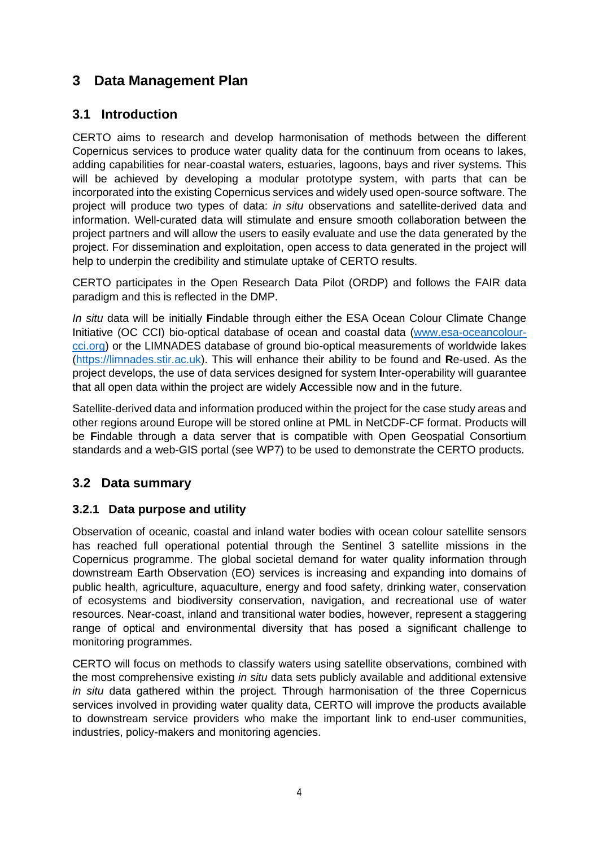## <span id="page-3-0"></span>**3 Data Management Plan**

## <span id="page-3-1"></span>**3.1 Introduction**

CERTO aims to research and develop harmonisation of methods between the different Copernicus services to produce water quality data for the continuum from oceans to lakes, adding capabilities for near-coastal waters, estuaries, lagoons, bays and river systems. This will be achieved by developing a modular prototype system, with parts that can be incorporated into the existing Copernicus services and widely used open-source software. The project will produce two types of data: *in situ* observations and satellite-derived data and information. Well-curated data will stimulate and ensure smooth collaboration between the project partners and will allow the users to easily evaluate and use the data generated by the project. For dissemination and exploitation, open access to data generated in the project will help to underpin the credibility and stimulate uptake of CERTO results.

CERTO participates in the Open Research Data Pilot (ORDP) and follows the FAIR data paradigm and this is reflected in the DMP.

*In situ* data will be initially **F**indable through either the ESA Ocean Colour Climate Change Initiative (OC CCI) bio-optical database of ocean and coastal data [\(www.esa-oceancolour](http://www.esa-oceancolour-cci.org/)[cci.org\)](http://www.esa-oceancolour-cci.org/) or the LIMNADES database of ground bio-optical measurements of worldwide lakes [\(https://limnades.stir.ac.uk\)](https://limnades.stir.ac.uk/). This will enhance their ability to be found and **R**e-used. As the project develops, the use of data services designed for system **I**nter-operability will guarantee that all open data within the project are widely **A**ccessible now and in the future.

Satellite-derived data and information produced within the project for the case study areas and other regions around Europe will be stored online at PML in NetCDF-CF format. Products will be **F**indable through a data server that is compatible with Open Geospatial Consortium standards and a web-GIS portal (see WP7) to be used to demonstrate the CERTO products.

## <span id="page-3-2"></span>**3.2 Data summary**

#### <span id="page-3-3"></span>**3.2.1 Data purpose and utility**

Observation of oceanic, coastal and inland water bodies with ocean colour satellite sensors has reached full operational potential through the Sentinel 3 satellite missions in the Copernicus programme. The global societal demand for water quality information through downstream Earth Observation (EO) services is increasing and expanding into domains of public health, agriculture, aquaculture, energy and food safety, drinking water, conservation of ecosystems and biodiversity conservation, navigation, and recreational use of water resources. Near-coast, inland and transitional water bodies, however, represent a staggering range of optical and environmental diversity that has posed a significant challenge to monitoring programmes.

CERTO will focus on methods to classify waters using satellite observations, combined with the most comprehensive existing *in situ* data sets publicly available and additional extensive *in situ* data gathered within the project. Through harmonisation of the three Copernicus services involved in providing water quality data, CERTO will improve the products available to downstream service providers who make the important link to end-user communities, industries, policy-makers and monitoring agencies.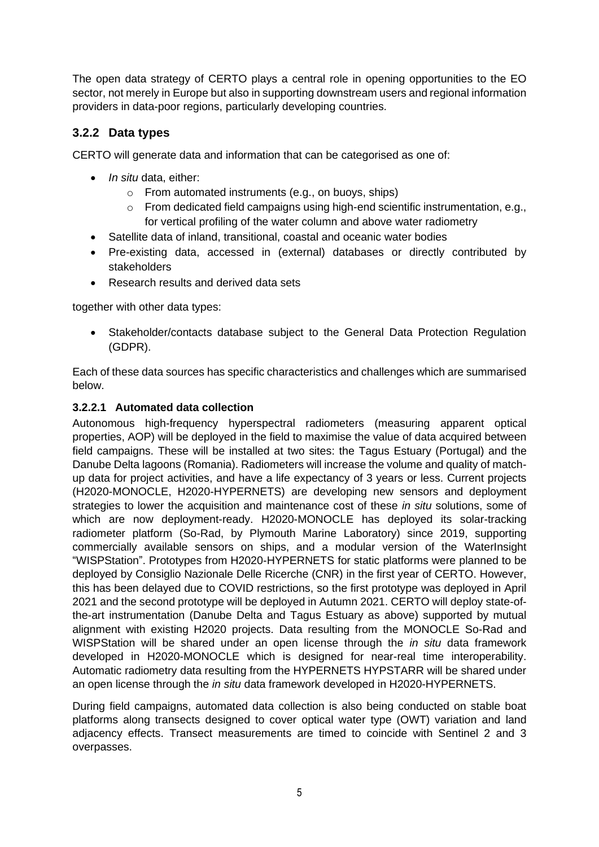The open data strategy of CERTO plays a central role in opening opportunities to the EO sector, not merely in Europe but also in supporting downstream users and regional information providers in data-poor regions, particularly developing countries.

## <span id="page-4-0"></span>**3.2.2 Data types**

CERTO will generate data and information that can be categorised as one of:

- *In situ* data, either:
	- o From automated instruments (e.g., on buoys, ships)
	- o From dedicated field campaigns using high-end scientific instrumentation, e.g., for vertical profiling of the water column and above water radiometry
- Satellite data of inland, transitional, coastal and oceanic water bodies
- Pre-existing data, accessed in (external) databases or directly contributed by stakeholders
- Research results and derived data sets

together with other data types:

• Stakeholder/contacts database subject to the General Data Protection Regulation (GDPR).

Each of these data sources has specific characteristics and challenges which are summarised below.

#### **3.2.2.1 Automated data collection**

Autonomous high-frequency hyperspectral radiometers (measuring apparent optical properties, AOP) will be deployed in the field to maximise the value of data acquired between field campaigns. These will be installed at two sites: the Tagus Estuary (Portugal) and the Danube Delta lagoons (Romania). Radiometers will increase the volume and quality of matchup data for project activities, and have a life expectancy of 3 years or less. Current projects (H2020-MONOCLE, H2020-HYPERNETS) are developing new sensors and deployment strategies to lower the acquisition and maintenance cost of these *in situ* solutions, some of which are now deployment-ready. H2020-MONOCLE has deployed its solar-tracking radiometer platform (So-Rad, by Plymouth Marine Laboratory) since 2019, supporting commercially available sensors on ships, and a modular version of the WaterInsight "WISPStation". Prototypes from H2020-HYPERNETS for static platforms were planned to be deployed by Consiglio Nazionale Delle Ricerche (CNR) in the first year of CERTO. However, this has been delayed due to COVID restrictions, so the first prototype was deployed in April 2021 and the second prototype will be deployed in Autumn 2021. CERTO will deploy state-ofthe-art instrumentation (Danube Delta and Tagus Estuary as above) supported by mutual alignment with existing H2020 projects. Data resulting from the MONOCLE So-Rad and WISPStation will be shared under an open license through the *in situ* data framework developed in H2020-MONOCLE which is designed for near-real time interoperability. Automatic radiometry data resulting from the HYPERNETS HYPSTARR will be shared under an open license through the *in situ* data framework developed in H2020-HYPERNETS.

During field campaigns, automated data collection is also being conducted on stable boat platforms along transects designed to cover optical water type (OWT) variation and land adjacency effects. Transect measurements are timed to coincide with Sentinel 2 and 3 overpasses.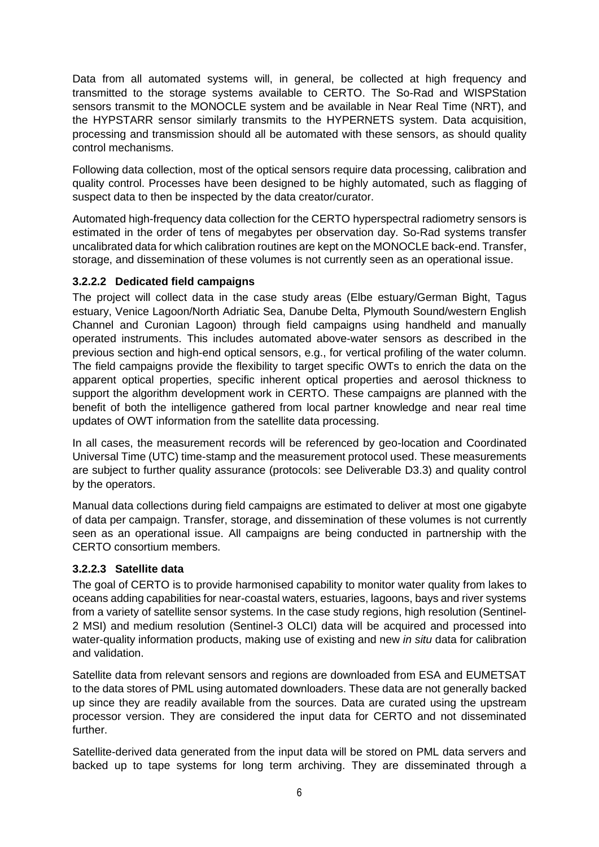Data from all automated systems will, in general, be collected at high frequency and transmitted to the storage systems available to CERTO. The So-Rad and WISPStation sensors transmit to the MONOCLE system and be available in Near Real Time (NRT), and the HYPSTARR sensor similarly transmits to the HYPERNETS system. Data acquisition, processing and transmission should all be automated with these sensors, as should quality control mechanisms.

Following data collection, most of the optical sensors require data processing, calibration and quality control. Processes have been designed to be highly automated, such as flagging of suspect data to then be inspected by the data creator/curator.

Automated high-frequency data collection for the CERTO hyperspectral radiometry sensors is estimated in the order of tens of megabytes per observation day. So-Rad systems transfer uncalibrated data for which calibration routines are kept on the MONOCLE back-end. Transfer, storage, and dissemination of these volumes is not currently seen as an operational issue.

#### **3.2.2.2 Dedicated field campaigns**

The project will collect data in the case study areas (Elbe estuary/German Bight, Tagus estuary, Venice Lagoon/North Adriatic Sea, Danube Delta, Plymouth Sound/western English Channel and Curonian Lagoon) through field campaigns using handheld and manually operated instruments. This includes automated above-water sensors as described in the previous section and high-end optical sensors, e.g., for vertical profiling of the water column. The field campaigns provide the flexibility to target specific OWTs to enrich the data on the apparent optical properties, specific inherent optical properties and aerosol thickness to support the algorithm development work in CERTO. These campaigns are planned with the benefit of both the intelligence gathered from local partner knowledge and near real time updates of OWT information from the satellite data processing.

In all cases, the measurement records will be referenced by geo-location and Coordinated Universal Time (UTC) time-stamp and the measurement protocol used. These measurements are subject to further quality assurance (protocols: see Deliverable D3.3) and quality control by the operators.

Manual data collections during field campaigns are estimated to deliver at most one gigabyte of data per campaign. Transfer, storage, and dissemination of these volumes is not currently seen as an operational issue. All campaigns are being conducted in partnership with the CERTO consortium members.

#### **3.2.2.3 Satellite data**

The goal of CERTO is to provide harmonised capability to monitor water quality from lakes to oceans adding capabilities for near-coastal waters, estuaries, lagoons, bays and river systems from a variety of satellite sensor systems. In the case study regions, high resolution (Sentinel-2 MSI) and medium resolution (Sentinel-3 OLCI) data will be acquired and processed into water-quality information products, making use of existing and new *in situ* data for calibration and validation.

Satellite data from relevant sensors and regions are downloaded from ESA and EUMETSAT to the data stores of PML using automated downloaders. These data are not generally backed up since they are readily available from the sources. Data are curated using the upstream processor version. They are considered the input data for CERTO and not disseminated further.

Satellite-derived data generated from the input data will be stored on PML data servers and backed up to tape systems for long term archiving. They are disseminated through a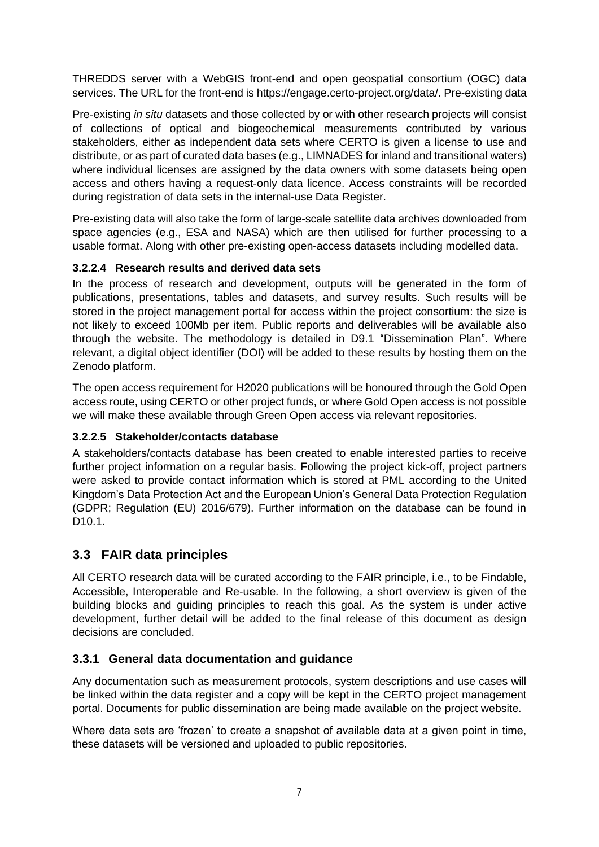THREDDS server with a WebGIS front-end and open geospatial consortium (OGC) data services. The URL for the front-end is https://engage.certo-project.org/data/. Pre-existing data

Pre-existing *in situ* datasets and those collected by or with other research projects will consist of collections of optical and biogeochemical measurements contributed by various stakeholders, either as independent data sets where CERTO is given a license to use and distribute, or as part of curated data bases (e.g., LIMNADES for inland and transitional waters) where individual licenses are assigned by the data owners with some datasets being open access and others having a request-only data licence. Access constraints will be recorded during registration of data sets in the internal-use Data Register.

Pre-existing data will also take the form of large-scale satellite data archives downloaded from space agencies (e.g., ESA and NASA) which are then utilised for further processing to a usable format. Along with other pre-existing open-access datasets including modelled data.

#### **3.2.2.4 Research results and derived data sets**

In the process of research and development, outputs will be generated in the form of publications, presentations, tables and datasets, and survey results. Such results will be stored in the project management portal for access within the project consortium: the size is not likely to exceed 100Mb per item. Public reports and deliverables will be available also through the website. The methodology is detailed in D9.1 "Dissemination Plan". Where relevant, a digital object identifier (DOI) will be added to these results by hosting them on the Zenodo platform.

The open access requirement for H2020 publications will be honoured through the Gold Open access route, using CERTO or other project funds, or where Gold Open access is not possible we will make these available through Green Open access via relevant repositories.

#### **3.2.2.5 Stakeholder/contacts database**

A stakeholders/contacts database has been created to enable interested parties to receive further project information on a regular basis. Following the project kick-off, project partners were asked to provide contact information which is stored at PML according to the United Kingdom's Data Protection Act and the European Union's General Data Protection Regulation (GDPR; Regulation (EU) 2016/679). Further information on the database can be found in D10.1.

## <span id="page-6-0"></span>**3.3 FAIR data principles**

All CERTO research data will be curated according to the FAIR principle, i.e., to be Findable, Accessible, Interoperable and Re-usable. In the following, a short overview is given of the building blocks and guiding principles to reach this goal. As the system is under active development, further detail will be added to the final release of this document as design decisions are concluded.

#### <span id="page-6-1"></span>**3.3.1 General data documentation and guidance**

Any documentation such as measurement protocols, system descriptions and use cases will be linked within the data register and a copy will be kept in the CERTO project management portal. Documents for public dissemination are being made available on the project website.

Where data sets are 'frozen' to create a snapshot of available data at a given point in time, these datasets will be versioned and uploaded to public repositories.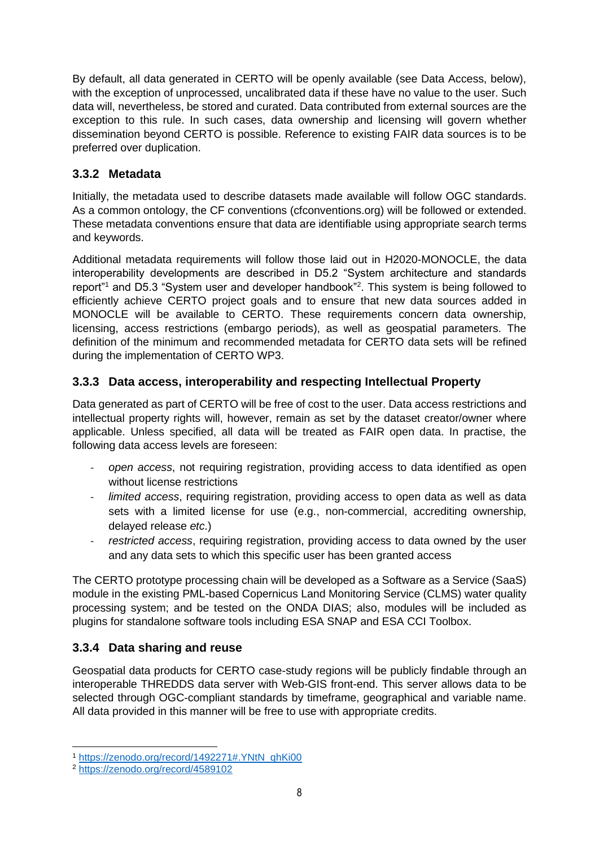By default, all data generated in CERTO will be openly available (see Data Access, below), with the exception of unprocessed, uncalibrated data if these have no value to the user. Such data will, nevertheless, be stored and curated. Data contributed from external sources are the exception to this rule. In such cases, data ownership and licensing will govern whether dissemination beyond CERTO is possible. Reference to existing FAIR data sources is to be preferred over duplication.

## <span id="page-7-0"></span>**3.3.2 Metadata**

Initially, the metadata used to describe datasets made available will follow OGC standards. As a common ontology, the CF conventions (cfconventions.org) will be followed or extended. These metadata conventions ensure that data are identifiable using appropriate search terms and keywords.

Additional metadata requirements will follow those laid out in H2020-MONOCLE, the data interoperability developments are described in D5.2 "System architecture and standards report"<sup>1</sup> and D5.3 "System user and developer handbook"<sup>2</sup>. This system is being followed to efficiently achieve CERTO project goals and to ensure that new data sources added in MONOCLE will be available to CERTO. These requirements concern data ownership, licensing, access restrictions (embargo periods), as well as geospatial parameters. The definition of the minimum and recommended metadata for CERTO data sets will be refined during the implementation of CERTO WP3.

## <span id="page-7-1"></span>**3.3.3 Data access, interoperability and respecting Intellectual Property**

Data generated as part of CERTO will be free of cost to the user. Data access restrictions and intellectual property rights will, however, remain as set by the dataset creator/owner where applicable. Unless specified, all data will be treated as FAIR open data. In practise, the following data access levels are foreseen:

- *open access*, not requiring registration, providing access to data identified as open without license restrictions
- *limited access*, requiring registration, providing access to open data as well as data sets with a limited license for use (e.g., non-commercial, accrediting ownership, delayed release *etc*.)
- restricted access, requiring registration, providing access to data owned by the user and any data sets to which this specific user has been granted access

The CERTO prototype processing chain will be developed as a Software as a Service (SaaS) module in the existing PML-based Copernicus Land Monitoring Service (CLMS) water quality processing system; and be tested on the ONDA DIAS; also, modules will be included as plugins for standalone software tools including ESA SNAP and ESA CCI Toolbox.

#### <span id="page-7-2"></span>**3.3.4 Data sharing and reuse**

Geospatial data products for CERTO case-study regions will be publicly findable through an interoperable THREDDS data server with Web-GIS front-end. This server allows data to be selected through OGC-compliant standards by timeframe, geographical and variable name. All data provided in this manner will be free to use with appropriate credits.

<sup>1</sup> [https://zenodo.org/record/1492271#.YNtN\\_qhKi00](https://zenodo.org/record/1492271#.YNtN_qhKi00)

<sup>2</sup> <https://zenodo.org/record/4589102>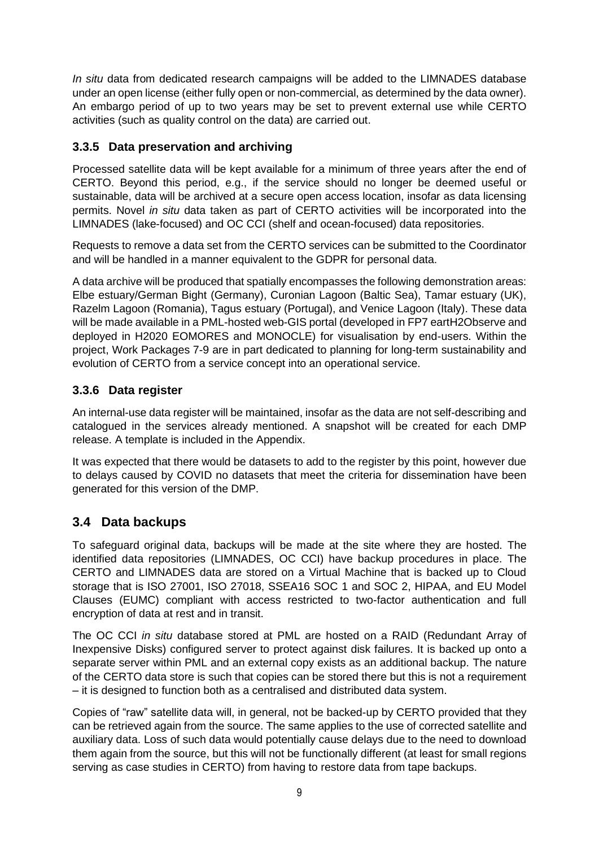*In situ* data from dedicated research campaigns will be added to the LIMNADES database under an open license (either fully open or non-commercial, as determined by the data owner). An embargo period of up to two years may be set to prevent external use while CERTO activities (such as quality control on the data) are carried out.

## <span id="page-8-0"></span>**3.3.5 Data preservation and archiving**

Processed satellite data will be kept available for a minimum of three years after the end of CERTO. Beyond this period, e.g., if the service should no longer be deemed useful or sustainable, data will be archived at a secure open access location, insofar as data licensing permits. Novel *in situ* data taken as part of CERTO activities will be incorporated into the LIMNADES (lake-focused) and OC CCI (shelf and ocean-focused) data repositories.

Requests to remove a data set from the CERTO services can be submitted to the Coordinator and will be handled in a manner equivalent to the GDPR for personal data.

A data archive will be produced that spatially encompasses the following demonstration areas: Elbe estuary/German Bight (Germany), Curonian Lagoon (Baltic Sea), Tamar estuary (UK), Razelm Lagoon (Romania), Tagus estuary (Portugal), and Venice Lagoon (Italy). These data will be made available in a PML-hosted web-GIS portal (developed in FP7 eartH2Observe and deployed in H2020 EOMORES and MONOCLE) for visualisation by end-users. Within the project, Work Packages 7-9 are in part dedicated to planning for long-term sustainability and evolution of CERTO from a service concept into an operational service.

## <span id="page-8-1"></span>**3.3.6 Data register**

An internal-use data register will be maintained, insofar as the data are not self-describing and catalogued in the services already mentioned. A snapshot will be created for each DMP release. A template is included in the Appendix.

It was expected that there would be datasets to add to the register by this point, however due to delays caused by COVID no datasets that meet the criteria for dissemination have been generated for this version of the DMP.

## <span id="page-8-2"></span>**3.4 Data backups**

To safeguard original data, backups will be made at the site where they are hosted. The identified data repositories (LIMNADES, OC CCI) have backup procedures in place. The CERTO and LIMNADES data are stored on a Virtual Machine that is backed up to Cloud storage that is ISO 27001, ISO 27018, SSEA16 SOC 1 and SOC 2, HIPAA, and EU Model Clauses (EUMC) compliant with access restricted to two-factor authentication and full encryption of data at rest and in transit.

The OC CCI *in situ* database stored at PML are hosted on a RAID (Redundant Array of Inexpensive Disks) configured server to protect against disk failures. It is backed up onto a separate server within PML and an external copy exists as an additional backup. The nature of the CERTO data store is such that copies can be stored there but this is not a requirement – it is designed to function both as a centralised and distributed data system.

Copies of "raw" satellite data will, in general, not be backed-up by CERTO provided that they can be retrieved again from the source. The same applies to the use of corrected satellite and auxiliary data. Loss of such data would potentially cause delays due to the need to download them again from the source, but this will not be functionally different (at least for small regions serving as case studies in CERTO) from having to restore data from tape backups.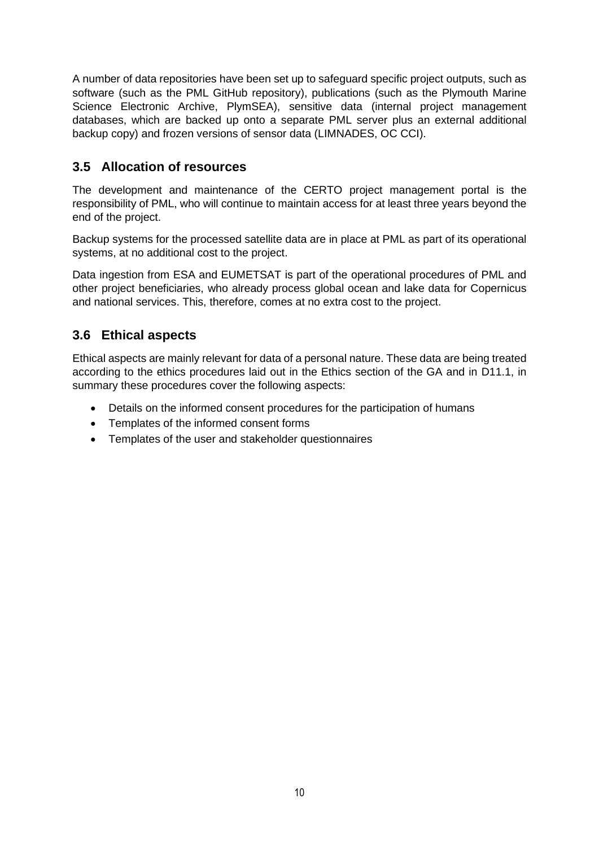A number of data repositories have been set up to safeguard specific project outputs, such as software (such as the PML GitHub repository), publications (such as the Plymouth Marine Science Electronic Archive, PlymSEA), sensitive data (internal project management databases, which are backed up onto a separate PML server plus an external additional backup copy) and frozen versions of sensor data (LIMNADES, OC CCI).

## <span id="page-9-0"></span>**3.5 Allocation of resources**

The development and maintenance of the CERTO project management portal is the responsibility of PML, who will continue to maintain access for at least three years beyond the end of the project.

Backup systems for the processed satellite data are in place at PML as part of its operational systems, at no additional cost to the project.

Data ingestion from ESA and EUMETSAT is part of the operational procedures of PML and other project beneficiaries, who already process global ocean and lake data for Copernicus and national services. This, therefore, comes at no extra cost to the project.

## <span id="page-9-1"></span>**3.6 Ethical aspects**

Ethical aspects are mainly relevant for data of a personal nature. These data are being treated according to the ethics procedures laid out in the Ethics section of the GA and in D11.1, in summary these procedures cover the following aspects:

- Details on the informed consent procedures for the participation of humans
- Templates of the informed consent forms
- Templates of the user and stakeholder questionnaires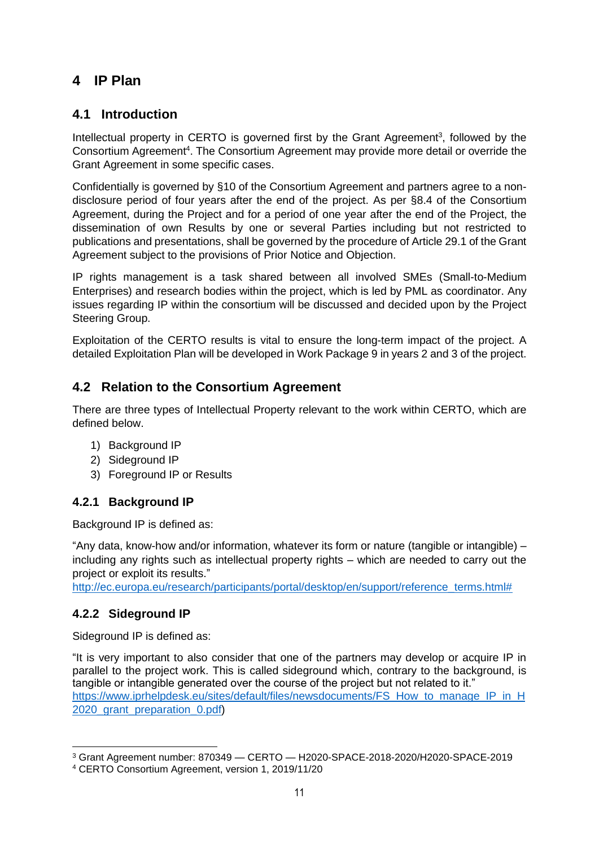## <span id="page-10-0"></span>**4 IP Plan**

## <span id="page-10-1"></span>**4.1 Introduction**

Intellectual property in CERTO is governed first by the Grant Agreement<sup>3</sup>, followed by the Consortium Agreement<sup>4</sup>. The Consortium Agreement may provide more detail or override the Grant Agreement in some specific cases.

Confidentially is governed by §10 of the Consortium Agreement and partners agree to a nondisclosure period of four years after the end of the project. As per §8.4 of the Consortium Agreement, during the Project and for a period of one year after the end of the Project, the dissemination of own Results by one or several Parties including but not restricted to publications and presentations, shall be governed by the procedure of Article 29.1 of the Grant Agreement subject to the provisions of Prior Notice and Objection.

IP rights management is a task shared between all involved SMEs (Small-to-Medium Enterprises) and research bodies within the project, which is led by PML as coordinator. Any issues regarding IP within the consortium will be discussed and decided upon by the Project Steering Group.

Exploitation of the CERTO results is vital to ensure the long-term impact of the project. A detailed Exploitation Plan will be developed in Work Package 9 in years 2 and 3 of the project.

## <span id="page-10-2"></span>**4.2 Relation to the Consortium Agreement**

There are three types of Intellectual Property relevant to the work within CERTO, which are defined below.

- 1) Background IP
- 2) Sideground IP
- 3) Foreground IP or Results

#### <span id="page-10-3"></span>**4.2.1 Background IP**

Background IP is defined as:

"Any data, know-how and/or information, whatever its form or nature (tangible or intangible) – including any rights such as intellectual property rights – which are needed to carry out the project or exploit its results."

[http://ec.europa.eu/research/participants/portal/desktop/en/support/reference\\_terms.html#](http://ec.europa.eu/research/participants/portal/desktop/en/support/reference_terms.html)

#### <span id="page-10-4"></span>**4.2.2 Sideground IP**

Sideground IP is defined as:

"It is very important to also consider that one of the partners may develop or acquire IP in parallel to the project work. This is called sideground which, contrary to the background, is tangible or intangible generated over the course of the project but not related to it." [https://www.iprhelpdesk.eu/sites/default/files/newsdocuments/FS\\_How\\_to\\_manage\\_IP\\_in\\_H](https://www.iprhelpdesk.eu/sites/default/files/newsdocuments/FS_How_to_manage_IP_in_H2020_grant_preparation_0.pdf) 2020 grant preparation 0.pdf)

<sup>3</sup> Grant Agreement number: 870349 — CERTO — H2020-SPACE-2018-2020/H2020-SPACE-2019

<sup>4</sup> CERTO Consortium Agreement, version 1, 2019/11/20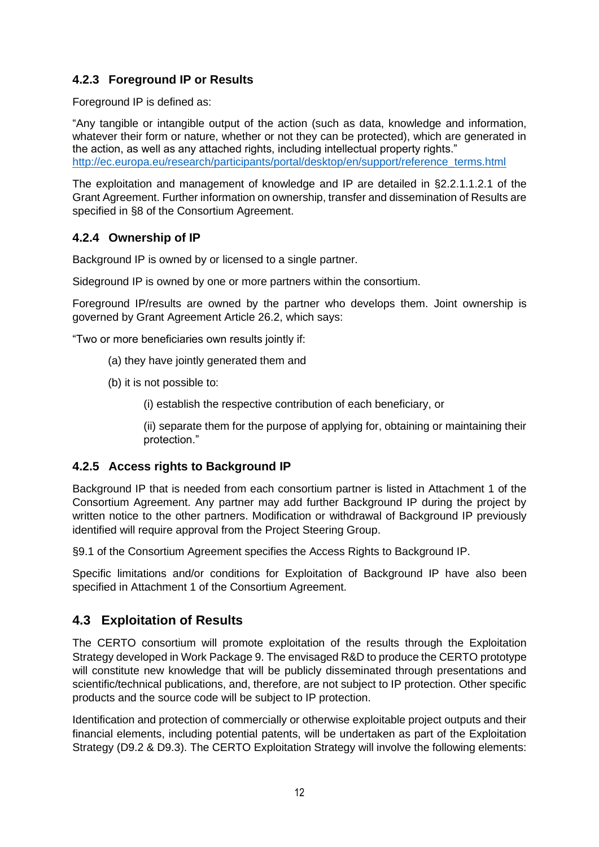## <span id="page-11-0"></span>**4.2.3 Foreground IP or Results**

Foreground IP is defined as:

"Any tangible or intangible output of the action (such as data, knowledge and information, whatever their form or nature, whether or not they can be protected), which are generated in the action, as well as any attached rights, including intellectual property rights." [http://ec.europa.eu/research/participants/portal/desktop/en/support/reference\\_terms.html](http://ec.europa.eu/research/participants/portal/desktop/en/support/reference_terms.html)

The exploitation and management of knowledge and IP are detailed in §2.2.1.1.2.1 of the Grant Agreement. Further information on ownership, transfer and dissemination of Results are specified in §8 of the Consortium Agreement.

#### <span id="page-11-1"></span>**4.2.4 Ownership of IP**

Background IP is owned by or licensed to a single partner.

Sideground IP is owned by one or more partners within the consortium.

Foreground IP/results are owned by the partner who develops them. Joint ownership is governed by Grant Agreement Article 26.2, which says:

"Two or more beneficiaries own results jointly if:

- (a) they have jointly generated them and
- (b) it is not possible to:
	- (i) establish the respective contribution of each beneficiary, or

(ii) separate them for the purpose of applying for, obtaining or maintaining their protection."

#### <span id="page-11-2"></span>**4.2.5 Access rights to Background IP**

Background IP that is needed from each consortium partner is listed in Attachment 1 of the Consortium Agreement. Any partner may add further Background IP during the project by written notice to the other partners. Modification or withdrawal of Background IP previously identified will require approval from the Project Steering Group.

§9.1 of the Consortium Agreement specifies the Access Rights to Background IP.

Specific limitations and/or conditions for Exploitation of Background IP have also been specified in Attachment 1 of the Consortium Agreement.

## <span id="page-11-3"></span>**4.3 Exploitation of Results**

The CERTO consortium will promote exploitation of the results through the Exploitation Strategy developed in Work Package 9. The envisaged R&D to produce the CERTO prototype will constitute new knowledge that will be publicly disseminated through presentations and scientific/technical publications, and, therefore, are not subject to IP protection. Other specific products and the source code will be subject to IP protection.

Identification and protection of commercially or otherwise exploitable project outputs and their financial elements, including potential patents, will be undertaken as part of the Exploitation Strategy (D9.2 & D9.3). The CERTO Exploitation Strategy will involve the following elements: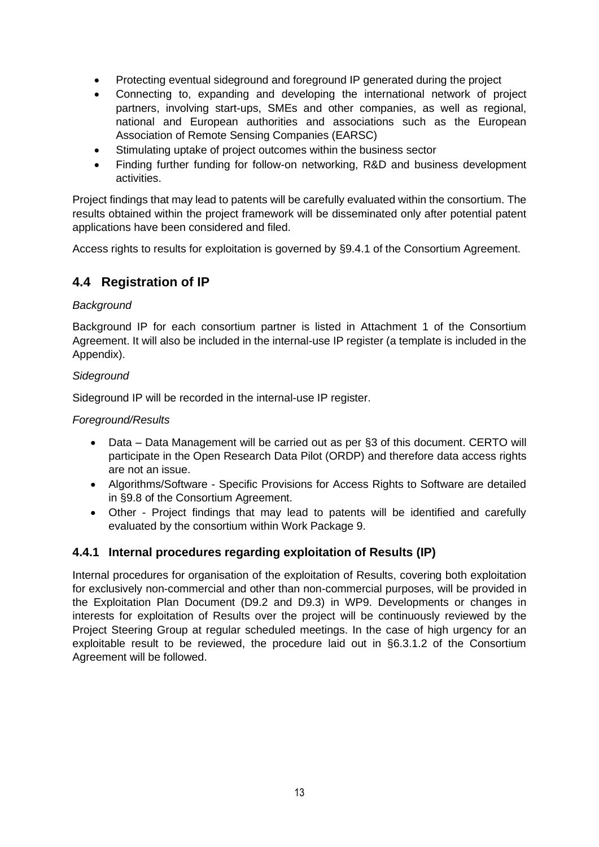- Protecting eventual sideground and foreground IP generated during the project
- Connecting to, expanding and developing the international network of project partners, involving start-ups, SMEs and other companies, as well as regional, national and European authorities and associations such as the European Association of Remote Sensing Companies (EARSC)
- Stimulating uptake of project outcomes within the business sector
- Finding further funding for follow-on networking, R&D and business development activities.

Project findings that may lead to patents will be carefully evaluated within the consortium. The results obtained within the project framework will be disseminated only after potential patent applications have been considered and filed.

Access rights to results for exploitation is governed by §9.4.1 of the Consortium Agreement.

## <span id="page-12-0"></span>**4.4 Registration of IP**

#### *Background*

Background IP for each consortium partner is listed in Attachment 1 of the Consortium Agreement. It will also be included in the internal-use IP register (a template is included in the Appendix).

#### *Sideground*

Sideground IP will be recorded in the internal-use IP register.

#### *Foreground/Results*

- Data Data Management will be carried out as per §3 of this document. CERTO will participate in the Open Research Data Pilot (ORDP) and therefore data access rights are not an issue.
- Algorithms/Software Specific Provisions for Access Rights to Software are detailed in §9.8 of the Consortium Agreement.
- Other Project findings that may lead to patents will be identified and carefully evaluated by the consortium within Work Package 9.

#### <span id="page-12-1"></span>**4.4.1 Internal procedures regarding exploitation of Results (IP)**

Internal procedures for organisation of the exploitation of Results, covering both exploitation for exclusively non-commercial and other than non-commercial purposes, will be provided in the Exploitation Plan Document (D9.2 and D9.3) in WP9. Developments or changes in interests for exploitation of Results over the project will be continuously reviewed by the Project Steering Group at regular scheduled meetings. In the case of high urgency for an exploitable result to be reviewed, the procedure laid out in §6.3.1.2 of the Consortium Agreement will be followed.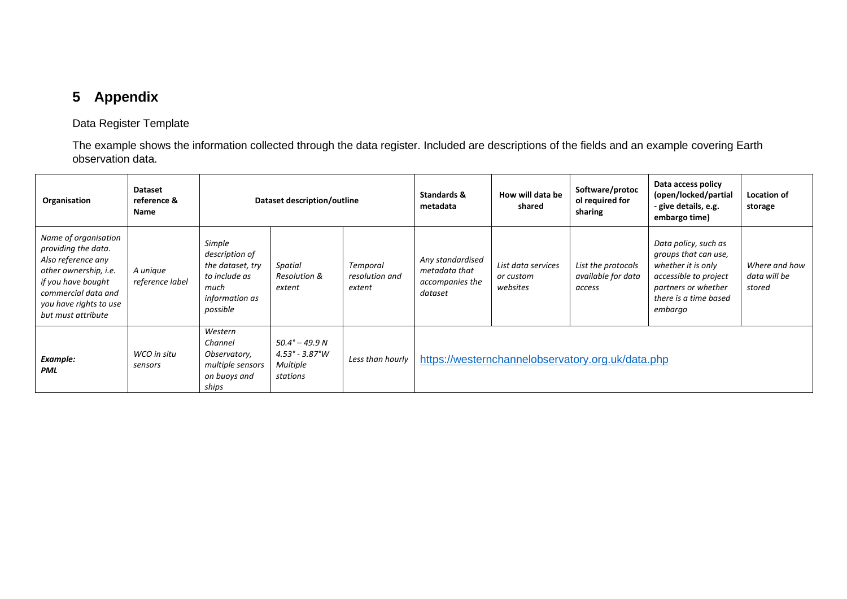# **5 Appendix**

#### Data Register Template

The example shows the information collected through the data register. Included are descriptions of the fields and an example covering Earth observation data.

| Organisation                                                                                                                                                                            | <b>Dataset</b><br>reference &<br>Name | Dataset description/outline                                                                         |                                                                            |                                      | Standards &<br>metadata                                         | How will data be<br>shared                  | Software/protoc<br>ol required for<br>sharing      | Data access policy<br>(open/locked/partial<br>- give details, e.g.<br>embargo time)                                                                    | Location of<br>storage                  |
|-----------------------------------------------------------------------------------------------------------------------------------------------------------------------------------------|---------------------------------------|-----------------------------------------------------------------------------------------------------|----------------------------------------------------------------------------|--------------------------------------|-----------------------------------------------------------------|---------------------------------------------|----------------------------------------------------|--------------------------------------------------------------------------------------------------------------------------------------------------------|-----------------------------------------|
| Name of organisation<br>providing the data.<br>Also reference any<br>other ownership, i.e.<br>if you have bought<br>commercial data and<br>you have rights to use<br>but must attribute | A unique<br>reference label           | Simple<br>description of<br>the dataset, try<br>to include as<br>much<br>information as<br>possible | Spatial<br>Resolution &<br>extent                                          | Temporal<br>resolution and<br>extent | Any standardised<br>metadata that<br>accompanies the<br>dataset | List data services<br>or custom<br>websites | List the protocols<br>available for data<br>access | Data policy, such as<br>groups that can use,<br>whether it is only<br>accessible to project<br>partners or whether<br>there is a time based<br>embargo | Where and how<br>data will be<br>stored |
| Example:<br><b>PML</b>                                                                                                                                                                  | WCO in situ<br>sensors                | Western<br>Channel<br>Observatory,<br>multiple sensors<br>on buoys and<br>ships                     | $50.4^{\circ} - 49.9 N$<br>$4.53^{\circ}$ - 3.87°W<br>Multiple<br>stations | Less than hourly                     | https://westernchannelobservatory.org.uk/data.php               |                                             |                                                    |                                                                                                                                                        |                                         |